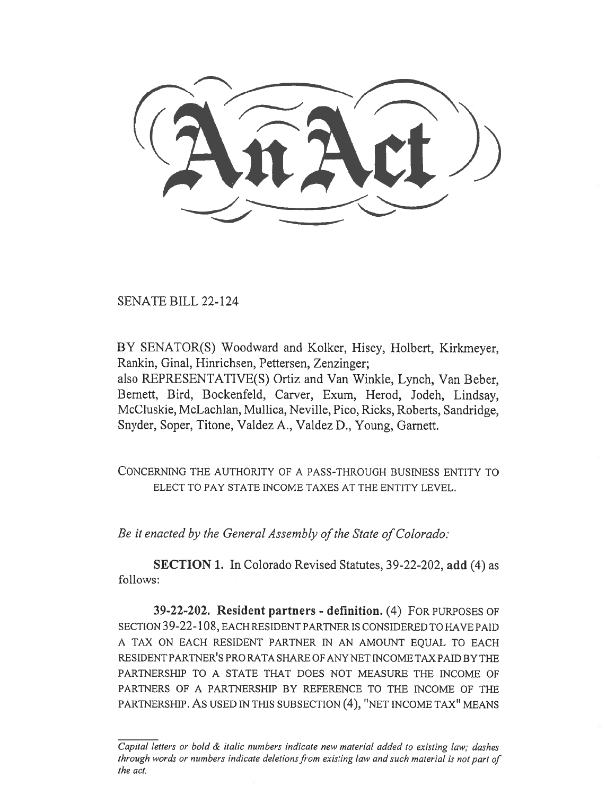SENATE BILL 22-124

BY SENATOR(S) Woodward and Kolker, Hisey, Holbert, Kirkmeyer, Rankin, Ginal, Hinrichsen, Pettersen, Zenzinger; also REPRESENTATIVE(S) Ortiz and Van Winkle, Lynch, Van Beber, Bernett, Bird, Bockenfeld, Carver, Exum, Herod, Jodeh, Lindsay, McCluskie, McLachlan, Mullica, Neville, Pico, Ricks, Roberts, Sandridge, Snyder, Soper, Titone, Valdez A., Valdez D., Young, Garnett.

CONCERNING THE AUTHORITY OF A PASS-THROUGH BUSINESS ENTITY TO ELECT TO PAY STATE INCOME TAXES AT THE ENTITY LEVEL.

Be it enacted by the General Assembly of the State of Colorado:

SECTION 1. In Colorado Revised Statutes, 39-22-202, add (4) as follows:

39-22-202. Resident partners - definition. (4) FOR PURPOSES OF SECTION 39-22-108, EACH RESIDENT PARTNER IS CONSIDERED TO HAVE PAID A TAX ON EACH RESIDENT PARTNER IN AN AMOUNT EQUAL TO EACH RESIDENT PARTNER'S PRO RATA SHARE OF ANY NET INCOME TAX PAID BY THE PARTNERSHIP TO A STATE THAT DOES NOT MEASURE THE INCOME OF PARTNERS OF A PARTNERSHIP BY REFERENCE TO THE INCOME OF THE PARTNERSHIP. AS USED IN THIS SUBSECTION (4), "NET INCOME TAX" MEANS

Capital letters or bold & italic numbers indicate new material added to existing law; dashes through words or numbers indicate deletions from existing law and such material is not part of the act.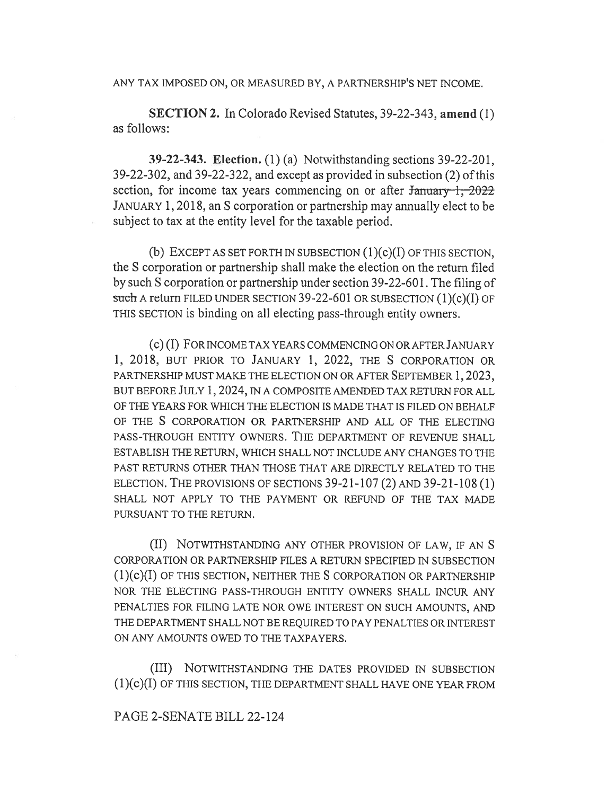ANY TAX IMPOSED ON, OR MEASURED BY, A PARTNERSHIP'S NET INCOME.

SECTION 2. In Colorado Revised Statutes, 39-22-343, amend (1) as follows:

39-22-343. Election. (1) (a) Notwithstanding sections 39-22-201, 39-22-302, and 39-22-322, and except as provided in subsection (2) of this section, for income tax years commencing on or after  $\frac{1}{2022}$ JANUARY 1, 2018, an S corporation or partnership may annually elect to be subject to tax at the entity level for the taxable period.

(b) EXCEPT AS SET FORTH IN SUBSECTION  $(1)(c)(I)$  OF THIS SECTION, the S corporation or partnership shall make the election on the return filed by such S corporation or partnership under section 39-22-601. The filing of such A return FILED UNDER SECTION 39-22-601 OR SUBSECTION (1)(c)(I) OF THIS SECTION is binding on all electing pass-through entity owners.

(c) (I) FOR INCOME TAX YEARS COMMENCING ON OR AFTER JANUARY 1, 2018, BUT PRIOR TO JANUARY 1, 2022, THE S CORPORATION OR PARTNERSHIP MUST MAKE THE ELECTION ON OR AFTER SEPTEMBER 1, 2023, BUT BEFORE JULY 1, 2024, IN A COMPOSITE AMENDED TAX RETURN FOR ALL OF THE YEARS FOR WHICH THE ELECTION IS MADE THAT IS FILED ON BEHALF OF THE S CORPORATION OR PARTNERSHIP AND ALL OF THE ELECTING PASS-THROUGH ENTITY OWNERS. THE DEPARTMENT OF REVENUE SHALL ESTABLISH THE RETURN, WHICH SHALL NOT INCLUDE ANY CHANGES TO THE PAST RETURNS OTHER THAN THOSE THAT ARE DIRECTLY RELATED TO THE ELECTION. THE PROVISIONS OF SECTIONS 39-21-107 (2) AND 39-21-108 (1) SHALL NOT APPLY TO THE PAYMENT OR REFUND OF THE TAX MADE PURSUANT TO THE RETURN.

(II) NOTWITHSTANDING ANY OTHER PROVISION OF LAW, IF AN S CORPORATION OR PARTNERSHIP FILES A RETURN SPECIFIED IN SUBSECTION (1)(c)(I) OF THIS SECTION, NEITHER THE S CORPORATION OR PARTNERSHIP NOR THE ELECTING PASS-THROUGH ENTITY OWNERS SHALL INCUR ANY PENALTIES FOR FILING LATE NOR OWE INTEREST ON SUCH AMOUNTS, AND THE DEPARTMENT SHALL NOT BE REQUIRED TO PAY PENALTIES OR INTEREST ON ANY AMOUNTS OWED TO THE TAXPAYERS.

(III) NOTWITHSTANDING THE DATES PROVIDED IN SUBSECTION (1)(c)(I) OF THIS SECTION, THE DEPARTMENT SHALL HAVE ONE YEAR FROM

### PAGE 2-SENATE BILL 22-124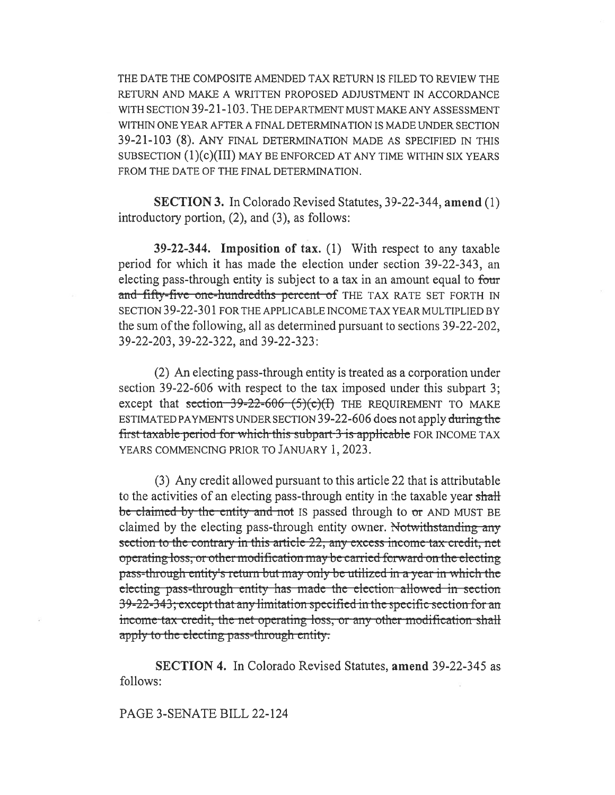THE DATE THE COMPOSITE AMENDED TAX RETURN IS FILED TO REVIEW THE RETURN AND MAKE A WRITTEN PROPOSED ADJUSTMENT IN ACCORDANCE WITH SECTION 39-21-103. THE DEPARTMENT MUST MAKE ANY ASSESSMENT WITHIN ONE YEAR AFTER A FINAL DETERMINATION IS MADE UNDER SECTION 39-21-103 (8). ANY FINAL DETERMINATION MADE AS SPECIFIED IN THIS SUBSECTION  $(1)(c)(III)$  MAY BE ENFORCED AT ANY TIME WITHIN SIX YEARS FROM THE DATE OF THE FINAL DETERMINATION.

SECTION 3. In Colorado Revised Statutes, 39-22-344, amend (1) introductory portion, (2), and (3), as follows:

39-22-344. Imposition of tax. (1) With respect to any taxable period for which it has made the election under section 39-22-343, an electing pass-through entity is subject to a tax in an amount equal to four and fifty-five one-hundredths percent of THE TAX RATE SET FORTH IN SECTION 39-22-301 FOR THE APPLICABLE INCOME TAX YEAR MULTIPLIED BY the sum of the following, all as determined pursuant to sections 39-22-202, 39-22-203, 39-22-322, and 39-22-323:

(2) An electing pass-through entity is treated as a corporation under section 39-22-606 with respect to the tax imposed under this subpart 3; except that section  $39-22-606$  (5)(c)(I) THE REQUIREMENT TO MAKE ESTIMATED PAYMENTS UNDER SECTION 39-22-606 does not apply during the first-taxable-period-for which this-subpart-3-is-applicable-FOR INCOME TAX YEARS COMMENCING PRIOR TO JANUARY 1, 2023.

(3) Any credit allowed pursuant to this article 22 that is attributable to the activities of an electing pass-through entity in the taxable year shall be claimed by the entity and not IS passed through to or AND MUST BE claimed by the electing pass-through entity owner. Not with standing any section to the contrary in this article 22, any excess income tax credit, net operating loss, or other modification may be carried forward on the electing pass-through-entity's return but may only be utilized in a year in which the electing-pass-through-entity-has-made-the-election-allowed in section specific pass difficulty has made the election anowed in section.<br>39-22-343; except that any limitation specified in the specific section for an income tax credit, the net operating loss, or any other modification shall apply to the electing pass-through entity.

SECTION 4. In Colorado Revised Statutes, amend 39-22-345 as follows:

### PAGE 3-SENATE BILL 22-124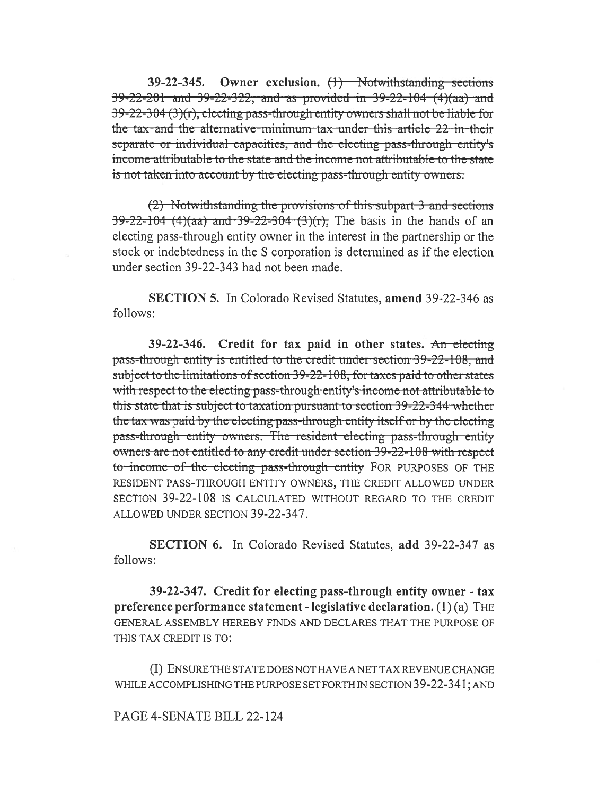39-22-345. Owner exclusion.  $(1)$  Notwithstanding sections  $39 - 22 - 201$  and  $39 - 22 - 322$ , and as provided in  $39 - 22 - 104$  (4)(aa) and 39-22-304 (3)(r), electing pass-through entity owners shall not be liable for the tax and the alternative minimum tax under this article 22 in their separate or individual capacities, and the electing pass-through entity's income attributable to the state and the income not attributable to the state is not taken into account by the electing pass-through entity owners.

(2) Notwithstanding the provisions of this subpart 3 and sections  $39-22-104$  (4)(aa) and 39-22-304 (3)(r). The basis in the hands of an electing pass-through entity owner in the interest in the partnership or the stock or indebtedness in the S corporation is determined as if the election under section 39-22-343 had not been made.

SECTION 5. In Colorado Revised Statutes, amend 39-22-346 as follows:

39-22-346. Credit for tax paid in other states. An electing pass-through entity is entitled to the credit under section 39-22-108, and subject to the limitations of section 39-22-108, for taxes paid to other states with respect to the electing pass-through entity's income not attributable to this state that is subject to taxation pursuant to section 39-22-344 whether the tax was paid by the electing pass-through entity itself or by the electing pass-through entity owners. The resident electing pass-through entity owners are not entitled to any credit under section 39-22-108 with respect to income of the electing pass-through entity FOR PURPOSES OF THE RESIDENT PASS-THROUGH ENTITY OWNERS, THE CREDIT ALLOWED UNDER SECTION 39-22-108 IS CALCULATED WITHOUT REGARD TO THE CREDIT ALLOWED UNDER SECTION 39-22-347.

SECTION 6. In Colorado Revised Statutes, add 39-22-347 as follows:

39-22-347. Credit for electing pass-through entity owner - tax preference performance statement - legislative declaration. (1)(a) THE GENERAL ASSEMBLY HEREBY FINDS AND DECLARES THAT THE PURPOSE OF THIS TAX CREDIT IS TO:

(I) ENSURE THE STATE DOES NOT HAVE A NET TAX REVENUE CHANGE WHILE ACCOMPLISHING THE PURPOSE SET FORTH IN SECTION 39-22-341; AND

### PAGE 4-SENATE BILL 22-124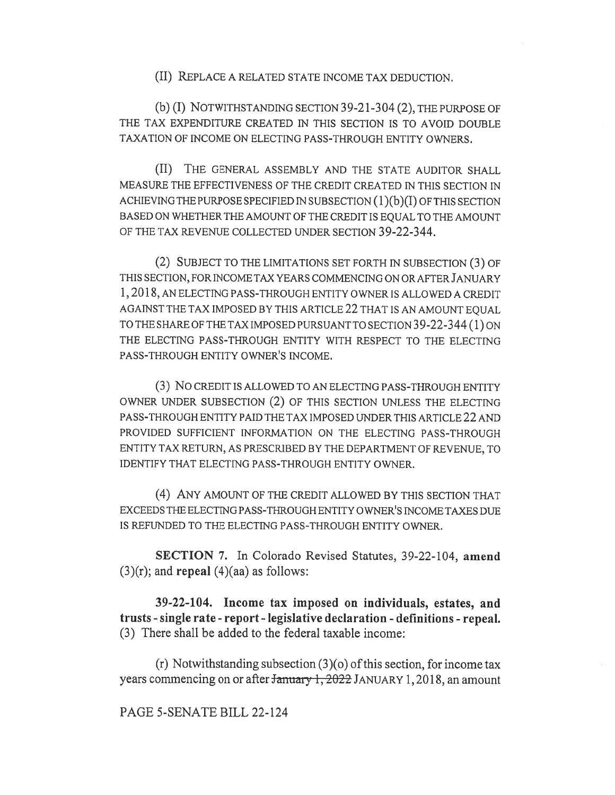(II) REPLACE A RELATED STATE INCOME TAX DEDUCTION.

(b) (I) NOTWITHSTANDING SECTION 39-21-304 (2), THE PURPOSE OF THE TAX EXPENDITURE CREATED IN THIS SECTION IS TO AVOID DOUBLE TAXATION OF INCOME ON ELECTING PASS-THROUGH ENTITY OWNERS.

(II) THE GENERAL ASSEMBLY AND THE STATE AUDITOR SHALL MEASURE THE EFFECTIVENESS OF THE CREDIT CREATED IN THIS SECTION IN ACHIEVING THE PURPOSE SPECIFIED IN SUBSECTION (1)(b)(I) OF THIS SECTION BASED ON WHETHER THE AMOUNT OF THE CREDIT IS EQUAL TO THE AMOUNT OF THE TAX REVENUE COLLECTED UNDER SECTION 39-22-344.

(2) SUBJECT TO THE LIMITATIONS SET FORTH IN SUBSECTION (3) OF THIS SECTION, FOR INCOME TAX YEARS COMMENCING ON OR AFTER JANUARY 1, 2018, AN ELECTING PASS-THROUGH ENTITY OWNER IS ALLOWED A CREDIT AGAINST THE TAX IMPOSED BY THIS ARTICLE 22 THAT IS AN AMOUNT EQUAL TO THE SHARE OF THE TAX IMPOSED PURSUANT TO SECTION 39-22-344 (1) ON THE ELECTING PASS-THROUGH ENTITY WITH RESPECT TO THE ELECTING PASS-THROUGH ENTITY OWNER'S INCOME.

(3) No CREDIT IS ALLOWED TO AN ELECTING PASS-THROUGH ENTITY OWNER UNDER SUBSECTION (2) OF THIS SECTION UNLESS THE ELECTING PASS-THROUGH ENTITY PAID THE TAX IMPOSED UNDER THIS ARTICLE 22 AND PROVIDED SUFFICIENT INFORMATION ON THE ELECTING PASS-THROUGH ENTITY TAX RETURN, AS PRESCRIBED BY THE DEPARTMENT OF REVENUE, TO IDENTIFY THAT ELECTING PASS-THROUGH ENTITY OWNER.

(4) ANY AMOUNT OF THE CREDIT ALLOWED BY THIS SECTION THAT EXCEEDS THE ELECTING PASS-THROUGH ENTITY OWNER'S INCOME TAXES DUE IS REFUNDED TO THE ELECTING PASS-THROUGH ENTITY OWNER.

SECTION 7. In Colorado Revised Statutes, 39-22-104, amend  $(3)(r)$ ; and repeal  $(4)(aa)$  as follows:

39-22-104. Income tax imposed on individuals, estates, and trusts - single rate - report - legislative declaration - definitions - repeal. (3) There shall be added to the federal taxable income:

(r) Notwithstanding subsection (3)(o) of this section, for income tax years commencing on or after January 1, 2022 JANUARY 1, 2018, an amount

### PAGE 5-SENATE BILL 22-124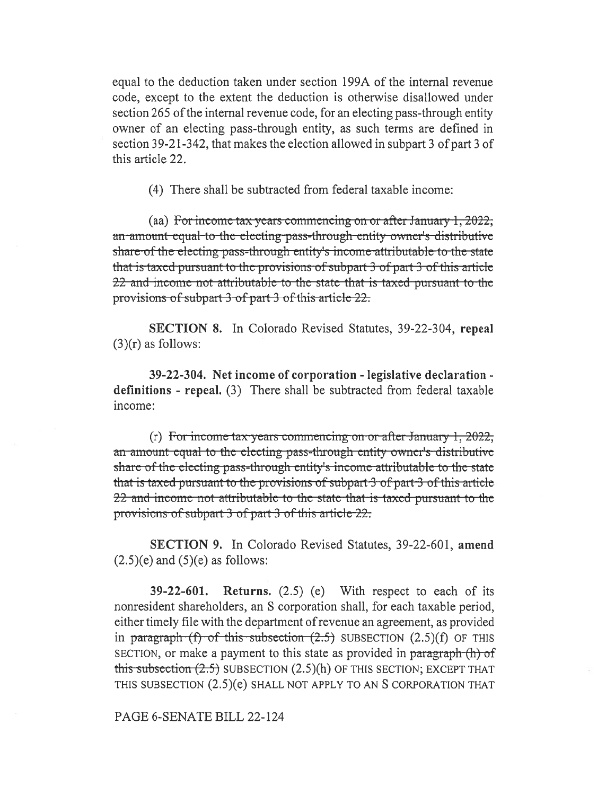equal to the deduction taken under section 199A of the internal revenue code, except to the extent the deduction is otherwise disallowed under section 265 of the internal revenue code, for an electing pass-through entity owner of an electing pass-through entity, as such terms are defined in section 39-21-342, that makes the election allowed in subpart 3 of part 3 of this article 22.

(4) There shall be subtracted from federal taxable income:

(aa) For income tax years commencing on or after January 1, 2022, an amount equal to the electing pass-through entity owner's distributive share-of-the-electing-pass-through-entity's income-attributable-to-the-state that is taxed-pursuant to the provisions of subpart 3 of part 3 of this article 22-and-income-not-attributable-to-the-state-that-is-taxed-pursuant-to-theprovisions of subpart 3-of part-3-of this article-22.

SECTION 8. In Colorado Revised Statutes, 39-22-304, repeal  $(3)(r)$  as follows:

39-22-304. Net income of corporation - legislative declaration definitions - repeal. (3) There shall be subtracted from federal taxable income:

(r) For incomc tax ycars commencing on or aftcr January 1, 2022, an-amount-equal-to-the-electing-pass-through-entity-owner's-distributive share of the electing pass-through entity's income attributable to the state that is taxed pursuant to the provisions of subpart 3 of part 3 of this article 22 and income not attributable to the state that is taxed pursuant to the provisions of subpart 3 of part 3 of this article-22.

SECTION 9. In Colorado Revised Statutes, 39-22-601, amend  $(2.5)(e)$  and  $(5)(e)$  as follows:

39-22-601. Returns. (2.5) (e) With respect to each of its nonresident shareholders, an S corporation shall, for each taxable period, either timely file with the department of revenue an agreement, as provided in paragraph  $(f)$  of this subsection  $(2.5)$  SUBSECTION  $(2.5)(f)$  OF THIS SECTION, or make a payment to this state as provided in paragraph (h) of this subsection  $(2.5)$  SUBSECTION  $(2.5)$ (h) OF THIS SECTION; EXCEPT THAT THIS SUBSECTION (2.5)(e) SHALL NOT APPLY TO AN S CORPORATION THAT

#### PAGE 6-SENATE BILL 22-124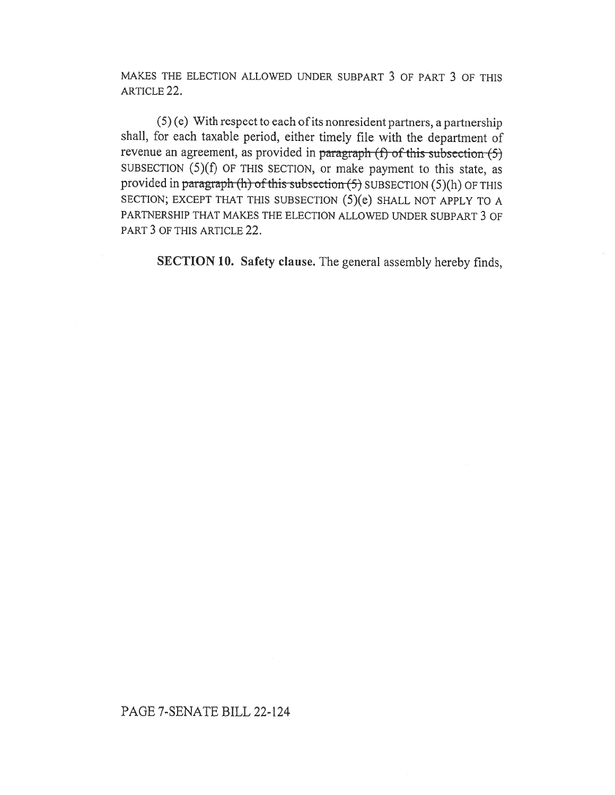MAKES THE ELECTION ALLOWED UNDER SUBPART 3 OF PART 3 OF THIS ARTICLE 22.

(5) (e) With respect to each of its nonresident partners, a partnership shall, for each taxable period, either timely file with the department of revenue an agreement, as provided in paragraph  $(f)$  of this subsection  $(5)$ SUBSECTION (5)(f) OF THIS SECTION, or make payment to this state, as provided in paragraph (h) of this subsection  $(5)$  SUBSECTION  $(5)(h)$  OF THIS SECTION; EXCEPT THAT THIS SUBSECTION (5)(e) SHALL NOT APPLY TO A PARTNERSHIP THAT MAKES THE ELECTION ALLOWED UNDER SUBPART 3 OF PART 3 OF THIS ARTICLE 22.

SECTION 10. Safety clause. The general assembly hereby finds,

## PAGE 7-SENATE BILL 22-124